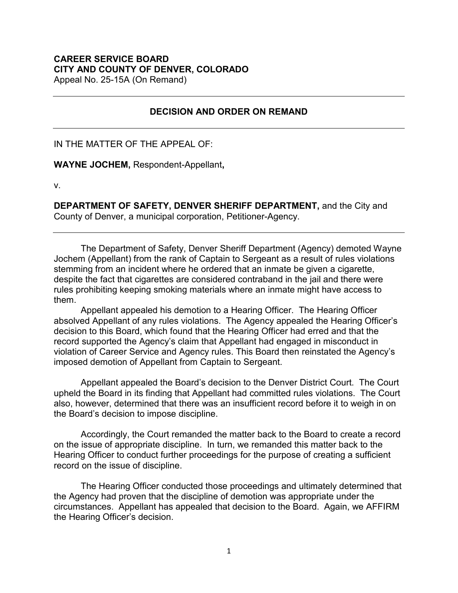## **CAREER SERVICE BOARD CITY AND COUNTY OF DENVER, COLORADO**

Appeal No. 25-15A (On Remand)

## **DECISION AND ORDER ON REMAND**

IN THE MATTER OF THE APPEAL OF:

**WAYNE JOCHEM,** Respondent-Appellant**,**

v.

**DEPARTMENT OF SAFETY, DENVER SHERIFF DEPARTMENT,** and the City and County of Denver, a municipal corporation, Petitioner-Agency.

The Department of Safety, Denver Sheriff Department (Agency) demoted Wayne Jochem (Appellant) from the rank of Captain to Sergeant as a result of rules violations stemming from an incident where he ordered that an inmate be given a cigarette, despite the fact that cigarettes are considered contraband in the jail and there were rules prohibiting keeping smoking materials where an inmate might have access to them.

Appellant appealed his demotion to a Hearing Officer. The Hearing Officer absolved Appellant of any rules violations. The Agency appealed the Hearing Officer's decision to this Board, which found that the Hearing Officer had erred and that the record supported the Agency's claim that Appellant had engaged in misconduct in violation of Career Service and Agency rules. This Board then reinstated the Agency's imposed demotion of Appellant from Captain to Sergeant.

Appellant appealed the Board's decision to the Denver District Court. The Court upheld the Board in its finding that Appellant had committed rules violations. The Court also, however, determined that there was an insufficient record before it to weigh in on the Board's decision to impose discipline.

Accordingly, the Court remanded the matter back to the Board to create a record on the issue of appropriate discipline. In turn, we remanded this matter back to the Hearing Officer to conduct further proceedings for the purpose of creating a sufficient record on the issue of discipline.

The Hearing Officer conducted those proceedings and ultimately determined that the Agency had proven that the discipline of demotion was appropriate under the circumstances. Appellant has appealed that decision to the Board. Again, we AFFIRM the Hearing Officer's decision.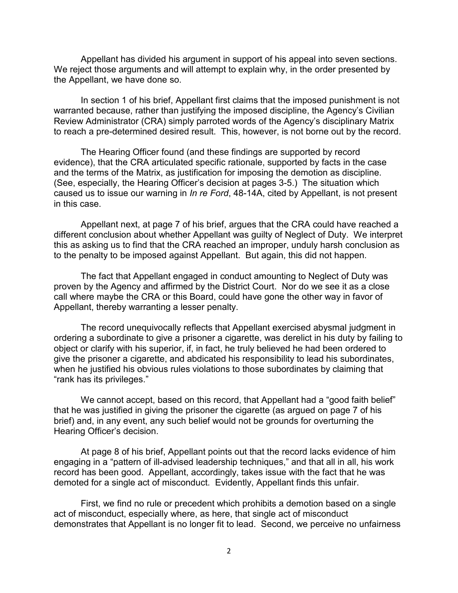Appellant has divided his argument in support of his appeal into seven sections. We reject those arguments and will attempt to explain why, in the order presented by the Appellant, we have done so.

In section 1 of his brief, Appellant first claims that the imposed punishment is not warranted because, rather than justifying the imposed discipline, the Agency's Civilian Review Administrator (CRA) simply parroted words of the Agency's disciplinary Matrix to reach a pre-determined desired result. This, however, is not borne out by the record.

The Hearing Officer found (and these findings are supported by record evidence), that the CRA articulated specific rationale, supported by facts in the case and the terms of the Matrix, as justification for imposing the demotion as discipline. (See, especially, the Hearing Officer's decision at pages 3-5.) The situation which caused us to issue our warning in *In re Ford*, 48-14A, cited by Appellant, is not present in this case.

Appellant next, at page 7 of his brief, argues that the CRA could have reached a different conclusion about whether Appellant was guilty of Neglect of Duty. We interpret this as asking us to find that the CRA reached an improper, unduly harsh conclusion as to the penalty to be imposed against Appellant. But again, this did not happen.

The fact that Appellant engaged in conduct amounting to Neglect of Duty was proven by the Agency and affirmed by the District Court. Nor do we see it as a close call where maybe the CRA or this Board, could have gone the other way in favor of Appellant, thereby warranting a lesser penalty.

The record unequivocally reflects that Appellant exercised abysmal judgment in ordering a subordinate to give a prisoner a cigarette, was derelict in his duty by failing to object or clarify with his superior, if, in fact, he truly believed he had been ordered to give the prisoner a cigarette, and abdicated his responsibility to lead his subordinates, when he justified his obvious rules violations to those subordinates by claiming that "rank has its privileges."

We cannot accept, based on this record, that Appellant had a "good faith belief" that he was justified in giving the prisoner the cigarette (as argued on page 7 of his brief) and, in any event, any such belief would not be grounds for overturning the Hearing Officer's decision.

At page 8 of his brief, Appellant points out that the record lacks evidence of him engaging in a "pattern of ill-advised leadership techniques," and that all in all, his work record has been good. Appellant, accordingly, takes issue with the fact that he was demoted for a single act of misconduct. Evidently, Appellant finds this unfair.

First, we find no rule or precedent which prohibits a demotion based on a single act of misconduct, especially where, as here, that single act of misconduct demonstrates that Appellant is no longer fit to lead. Second, we perceive no unfairness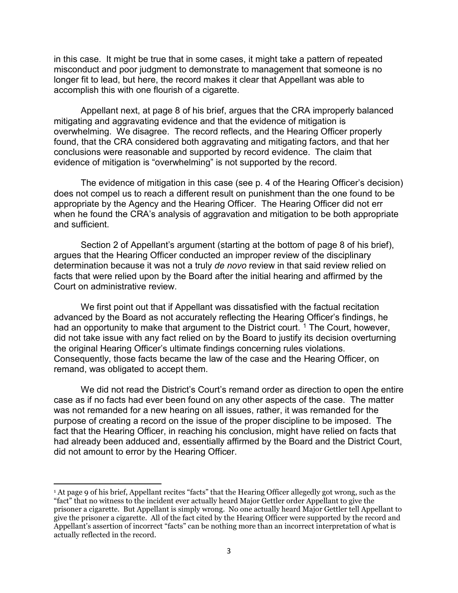in this case. It might be true that in some cases, it might take a pattern of repeated misconduct and poor judgment to demonstrate to management that someone is no longer fit to lead, but here, the record makes it clear that Appellant was able to accomplish this with one flourish of a cigarette.

Appellant next, at page 8 of his brief, argues that the CRA improperly balanced mitigating and aggravating evidence and that the evidence of mitigation is overwhelming. We disagree. The record reflects, and the Hearing Officer properly found, that the CRA considered both aggravating and mitigating factors, and that her conclusions were reasonable and supported by record evidence. The claim that evidence of mitigation is "overwhelming" is not supported by the record.

The evidence of mitigation in this case (see p. 4 of the Hearing Officer's decision) does not compel us to reach a different result on punishment than the one found to be appropriate by the Agency and the Hearing Officer. The Hearing Officer did not err when he found the CRA's analysis of aggravation and mitigation to be both appropriate and sufficient.

Section 2 of Appellant's argument (starting at the bottom of page 8 of his brief), argues that the Hearing Officer conducted an improper review of the disciplinary determination because it was not a truly *de novo* review in that said review relied on facts that were relied upon by the Board after the initial hearing and affirmed by the Court on administrative review.

We first point out that if Appellant was dissatisfied with the factual recitation advanced by the Board as not accurately reflecting the Hearing Officer's findings, he had an opportunity to make that argument to the District court.<sup>[1](#page-2-0)</sup> The Court, however, did not take issue with any fact relied on by the Board to justify its decision overturning the original Hearing Officer's ultimate findings concerning rules violations. Consequently, those facts became the law of the case and the Hearing Officer, on remand, was obligated to accept them.

We did not read the District's Court's remand order as direction to open the entire case as if no facts had ever been found on any other aspects of the case. The matter was not remanded for a new hearing on all issues, rather, it was remanded for the purpose of creating a record on the issue of the proper discipline to be imposed. The fact that the Hearing Officer, in reaching his conclusion, might have relied on facts that had already been adduced and, essentially affirmed by the Board and the District Court, did not amount to error by the Hearing Officer.

 $\overline{a}$ 

<span id="page-2-0"></span><sup>1</sup> At page 9 of his brief, Appellant recites "facts" that the Hearing Officer allegedly got wrong, such as the "fact" that no witness to the incident ever actually heard Major Gettler order Appellant to give the prisoner a cigarette. But Appellant is simply wrong. No one actually heard Major Gettler tell Appellant to give the prisoner a cigarette. All of the fact cited by the Hearing Officer were supported by the record and Appellant's assertion of incorrect "facts" can be nothing more than an incorrect interpretation of what is actually reflected in the record.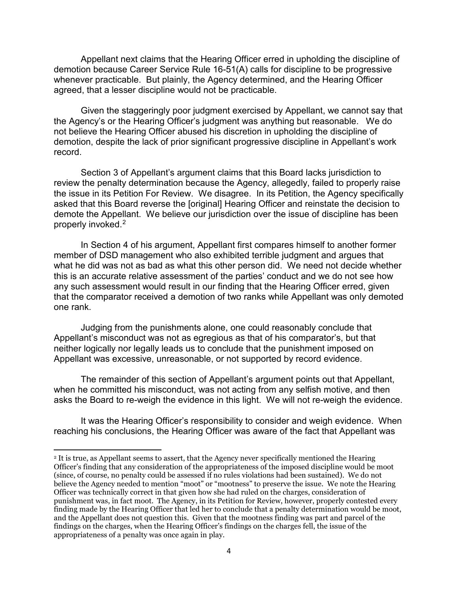Appellant next claims that the Hearing Officer erred in upholding the discipline of demotion because Career Service Rule 16-51(A) calls for discipline to be progressive whenever practicable. But plainly, the Agency determined, and the Hearing Officer agreed, that a lesser discipline would not be practicable.

Given the staggeringly poor judgment exercised by Appellant, we cannot say that the Agency's or the Hearing Officer's judgment was anything but reasonable. We do not believe the Hearing Officer abused his discretion in upholding the discipline of demotion, despite the lack of prior significant progressive discipline in Appellant's work record.

Section 3 of Appellant's argument claims that this Board lacks jurisdiction to review the penalty determination because the Agency, allegedly, failed to properly raise the issue in its Petition For Review. We disagree. In its Petition, the Agency specifically asked that this Board reverse the [original] Hearing Officer and reinstate the decision to demote the Appellant. We believe our jurisdiction over the issue of discipline has been properly invoked. [2](#page-3-0)

In Section 4 of his argument, Appellant first compares himself to another former member of DSD management who also exhibited terrible judgment and argues that what he did was not as bad as what this other person did. We need not decide whether this is an accurate relative assessment of the parties' conduct and we do not see how any such assessment would result in our finding that the Hearing Officer erred, given that the comparator received a demotion of two ranks while Appellant was only demoted one rank.

Judging from the punishments alone, one could reasonably conclude that Appellant's misconduct was not as egregious as that of his comparator's, but that neither logically nor legally leads us to conclude that the punishment imposed on Appellant was excessive, unreasonable, or not supported by record evidence.

The remainder of this section of Appellant's argument points out that Appellant, when he committed his misconduct, was not acting from any selfish motive, and then asks the Board to re-weigh the evidence in this light. We will not re-weigh the evidence.

It was the Hearing Officer's responsibility to consider and weigh evidence. When reaching his conclusions, the Hearing Officer was aware of the fact that Appellant was

 $\overline{\phantom{a}}$ 

<span id="page-3-0"></span><sup>2</sup> It is true, as Appellant seems to assert, that the Agency never specifically mentioned the Hearing Officer's finding that any consideration of the appropriateness of the imposed discipline would be moot (since, of course, no penalty could be assessed if no rules violations had been sustained). We do not believe the Agency needed to mention "moot" or "mootness" to preserve the issue. We note the Hearing Officer was technically correct in that given how she had ruled on the charges, consideration of punishment was, in fact moot. The Agency, in its Petition for Review, however, properly contested every finding made by the Hearing Officer that led her to conclude that a penalty determination would be moot, and the Appellant does not question this. Given that the mootness finding was part and parcel of the findings on the charges, when the Hearing Officer's findings on the charges fell, the issue of the appropriateness of a penalty was once again in play.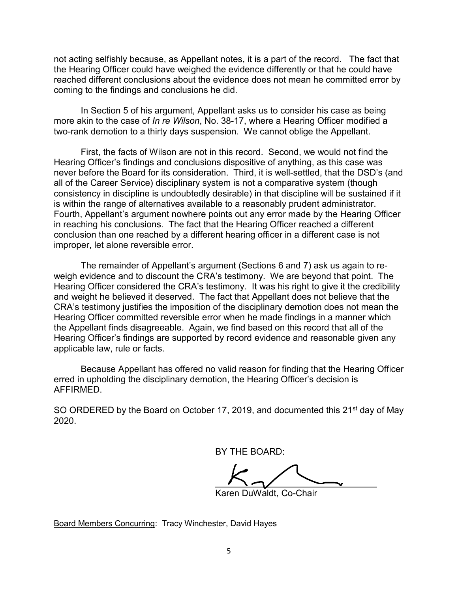not acting selfishly because, as Appellant notes, it is a part of the record. The fact that the Hearing Officer could have weighed the evidence differently or that he could have reached different conclusions about the evidence does not mean he committed error by coming to the findings and conclusions he did.

In Section 5 of his argument, Appellant asks us to consider his case as being more akin to the case of *In re Wilson*, No. 38-17, where a Hearing Officer modified a two-rank demotion to a thirty days suspension. We cannot oblige the Appellant.

First, the facts of Wilson are not in this record. Second, we would not find the Hearing Officer's findings and conclusions dispositive of anything, as this case was never before the Board for its consideration. Third, it is well-settled, that the DSD's (and all of the Career Service) disciplinary system is not a comparative system (though consistency in discipline is undoubtedly desirable) in that discipline will be sustained if it is within the range of alternatives available to a reasonably prudent administrator. Fourth, Appellant's argument nowhere points out any error made by the Hearing Officer in reaching his conclusions. The fact that the Hearing Officer reached a different conclusion than one reached by a different hearing officer in a different case is not improper, let alone reversible error.

The remainder of Appellant's argument (Sections 6 and 7) ask us again to reweigh evidence and to discount the CRA's testimony. We are beyond that point. The Hearing Officer considered the CRA's testimony. It was his right to give it the credibility and weight he believed it deserved. The fact that Appellant does not believe that the CRA's testimony justifies the imposition of the disciplinary demotion does not mean the Hearing Officer committed reversible error when he made findings in a manner which the Appellant finds disagreeable. Again, we find based on this record that all of the Hearing Officer's findings are supported by record evidence and reasonable given any applicable law, rule or facts.

Because Appellant has offered no valid reason for finding that the Hearing Officer erred in upholding the disciplinary demotion, the Hearing Officer's decision is AFFIRMED.

SO ORDERED by the Board on October 17, 2019, and documented this 21<sup>st</sup> day of May 2020.

BY THE BOARD:

Karen DuWaldt, Co-Chair

Board Members Concurring: Tracy Winchester, David Hayes